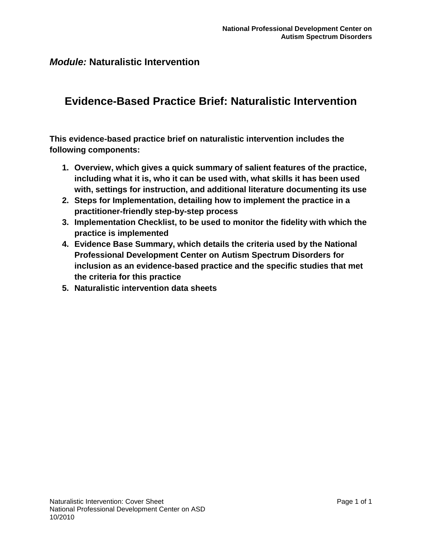# **Evidence-Based Practice Brief: Naturalistic Intervention**

**This evidence-based practice brief on naturalistic intervention includes the following components:**

- **1. Overview, which gives a quick summary of salient features of the practice, including what it is, who it can be used with, what skills it has been used with, settings for instruction, and additional literature documenting its use**
- **2. Steps for Implementation, detailing how to implement the practice in a practitioner-friendly step-by-step process**
- **3. Implementation Checklist, to be used to monitor the fidelity with which the practice is implemented**
- **4. Evidence Base Summary, which details the criteria used by the National Professional Development Center on Autism Spectrum Disorders for inclusion as an evidence-based practice and the specific studies that met the criteria for this practice**
- **5. Naturalistic intervention data sheets**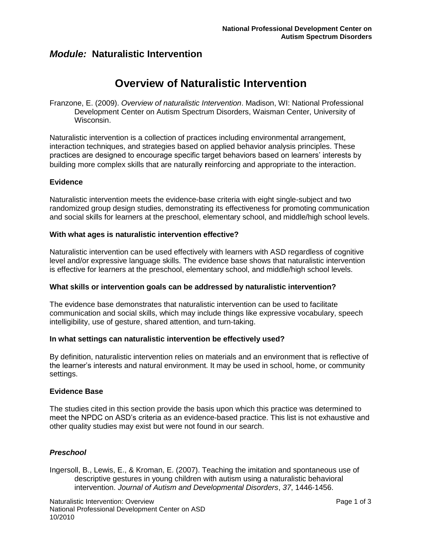# **Overview of Naturalistic Intervention**

Franzone, E. (2009). *Overview of naturalistic Intervention*. Madison, WI: National Professional Development Center on Autism Spectrum Disorders, Waisman Center, University of Wisconsin.

Naturalistic intervention is a collection of practices including environmental arrangement, interaction techniques, and strategies based on applied behavior analysis principles. These practices are designed to encourage specific target behaviors based on learners' interests by building more complex skills that are naturally **r**einforcing and appropriate to the interaction.

### **Evidence**

Naturalistic intervention meets the evidence-base criteria with eight single-subject and two randomized group design studies, demonstrating its effectiveness for promoting communication and social skills for learners at the preschool, elementary school, and middle/high school levels.

#### **With what ages is naturalistic intervention effective?**

Naturalistic intervention can be used effectively with learners with ASD regardless of cognitive level and/or expressive language skills. The evidence base shows that naturalistic intervention is effective for learners at the preschool, elementary school, and middle/high school levels.

### **What skills or intervention goals can be addressed by naturalistic intervention?**

The evidence base demonstrates that naturalistic intervention can be used to facilitate communication and social skills, which may include things like expressive vocabulary, speech intelligibility, use of gesture, shared attention, and turn-taking.

#### **In what settings can naturalistic intervention be effectively used?**

By definition, naturalistic intervention relies on materials and an environment that is reflective of the learner's interests and natural environment. It may be used in school, home, or community settings.

#### **Evidence Base**

The studies cited in this section provide the basis upon which this practice was determined to meet the NPDC on ASD's criteria as an evidence-based practice. This list is not exhaustive and other quality studies may exist but were not found in our search.

### *Preschool*

Ingersoll, B., Lewis, E., & Kroman, E. (2007). Teaching the imitation and spontaneous use of descriptive gestures in young children with autism using a naturalistic behavioral intervention. *Journal of Autism and Developmental Disorders*, *37*, 1446-1456.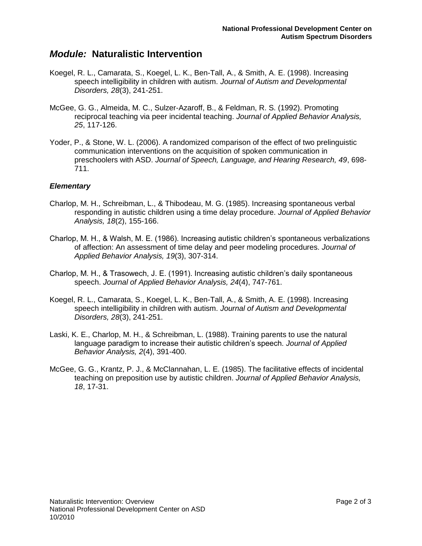- Koegel, R. L., Camarata, S., Koegel, L. K., Ben-Tall, A., & Smith, A. E. (1998). Increasing speech intelligibility in children with autism. *Journal of Autism and Developmental Disorders, 28*(3), 241-251.
- McGee, G. G., Almeida, M. C., Sulzer-Azaroff, B., & Feldman, R. S. (1992). Promoting reciprocal teaching via peer incidental teaching. *Journal of Applied Behavior Analysis, 25*, 117-126.
- Yoder, P., & Stone, W. L. (2006). A randomized comparison of the effect of two prelinguistic communication interventions on the acquisition of spoken communication in preschoolers with ASD. *Journal of Speech, Language, and Hearing Research, 49*, 698- 711.

### *Elementary*

- Charlop, M. H., Schreibman, L., & Thibodeau, M. G. (1985). Increasing spontaneous verbal responding in autistic children using a time delay procedure. *Journal of Applied Behavior Analysis, 18*(2), 155-166.
- Charlop, M. H., & Walsh, M. E. (1986). Increasing autistic children's spontaneous verbalizations of affection: An assessment of time delay and peer modeling procedures. *Journal of Applied Behavior Analysis, 19*(3), 307-314.
- Charlop, M. H., & Trasowech, J. E. (1991). Increasing autistic children's daily spontaneous speech. *Journal of Applied Behavior Analysis, 24*(4), 747-761.
- Koegel, R. L., Camarata, S., Koegel, L. K., Ben-Tall, A., & Smith, A. E. (1998). Increasing speech intelligibility in children with autism. *Journal of Autism and Developmental Disorders, 28*(3), 241-251.
- Laski, K. E., Charlop, M. H., & Schreibman, L. (1988). Training parents to use the natural language paradigm to increase their autistic children's speech. *Journal of Applied Behavior Analysis, 2*(4), 391-400.
- McGee, G. G., Krantz, P. J., & McClannahan, L. E. (1985). The facilitative effects of incidental teaching on preposition use by autistic children. *Journal of Applied Behavior Analysis, 18*, 17-31.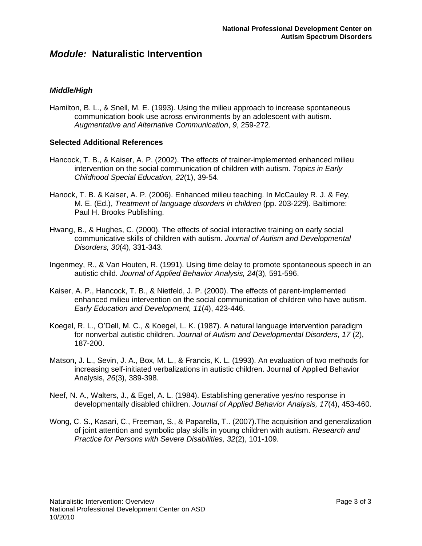### *Middle/High*

Hamilton, B. L., & Snell, M. E. (1993). Using the milieu approach to increase spontaneous communication book use across environments by an adolescent with autism. *Augmentative and Alternative Communication*, *9*, 259-272.

### **Selected Additional References**

- Hancock, T. B., & Kaiser, A. P. (2002). The effects of trainer-implemented enhanced milieu intervention on the social communication of children with autism. *Topics in Early Childhood Special Education, 22*(1), 39-54.
- Hanock, T. B. & Kaiser, A. P. (2006). Enhanced milieu teaching. In McCauley R. J. & Fey, M. E. (Ed.), *Treatment of language disorders in children* (pp. 203-229). Baltimore: Paul H. Brooks Publishing.
- Hwang, B., & Hughes, C. (2000). The effects of social interactive training on early social communicative skills of children with autism. *Journal of Autism and Developmental Disorders, 30*(4), 331-343.
- Ingenmey, R., & Van Houten, R. (1991). Using time delay to promote spontaneous speech in an autistic child. *Journal of Applied Behavior Analysis, 24*(3), 591-596.
- Kaiser, A. P., Hancock, T. B., & Nietfeld, J. P. (2000). The effects of parent-implemented enhanced milieu intervention on the social communication of children who have autism. *Early Education and Development, 11*(4), 423-446.
- Koegel, R. L., O'Dell, M. C., & Koegel, L. K. (1987). A natural language intervention paradigm for nonverbal autistic children. *Journal of Autism and Developmental Disorders, 17* (2), 187-200.
- Matson, J. L., Sevin, J. A., Box, M. L., & Francis, K. L. (1993). An evaluation of two methods for increasing self-initiated verbalizations in autistic children. Journal of Applied Behavior Analysis, *26*(3), 389-398.
- Neef, N. A., Walters, J., & Egel, A. L. (1984). Establishing generative yes/no response in developmentally disabled children. *Journal of Applied Behavior Analysis, 17*(4), 453-460.
- Wong, C. S., Kasari, C., Freeman, S., & Paparella, T.. (2007).The acquisition and generalization of joint attention and symbolic play skills in young children with autism. *Research and Practice for Persons with Severe Disabilities, 32*(2), 101-109.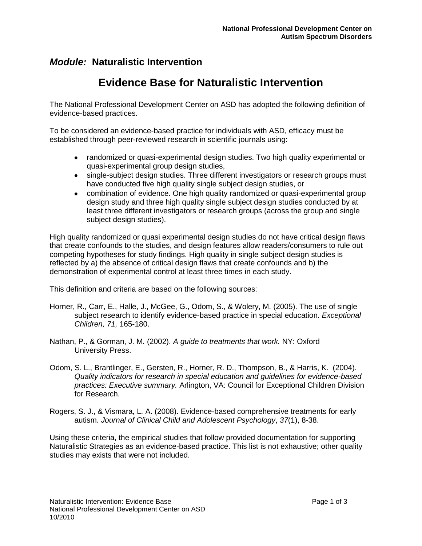# **Evidence Base for Naturalistic Intervention**

The National Professional Development Center on ASD has adopted the following definition of evidence-based practices.

To be considered an evidence-based practice for individuals with ASD, efficacy must be established through peer-reviewed research in scientific journals using:

- randomized or quasi-experimental design studies. Two high quality experimental or quasi-experimental group design studies,
- single-subject design studies. Three different investigators or research groups must have conducted five high quality single subject design studies, or
- combination of evidence. One high quality randomized or quasi-experimental group design study and three high quality single subject design studies conducted by at least three different investigators or research groups (across the group and single subject design studies).

High quality randomized or quasi experimental design studies do not have critical design flaws that create confounds to the studies, and design features allow readers/consumers to rule out competing hypotheses for study findings. High quality in single subject design studies is reflected by a) the absence of critical design flaws that create confounds and b) the demonstration of experimental control at least three times in each study.

This definition and criteria are based on the following sources:

- Horner, R., Carr, E., Halle, J., McGee, G., Odom, S., & Wolery, M. (2005). The use of single subject research to identify evidence-based practice in special education. *Exceptional Children, 71,* 165-180.
- Nathan, P., & Gorman, J. M. (2002). *A guide to treatments that work.* NY: Oxford University Press.
- Odom, S. L., Brantlinger, E., Gersten, R., Horner, R. D., Thompson, B., & Harris, K. (2004). *Quality indicators for research in special education and guidelines for evidence-based practices: Executive summary.* Arlington, VA: Council for Exceptional Children Division for Research.
- Rogers, S. J., & Vismara, L. A. (2008). Evidence-based comprehensive treatments for early autism. *Journal of Clinical Child and Adolescent Psychology*, *37*(1), 8-38.

Using these criteria, the empirical studies that follow provided documentation for supporting Naturalistic Strategies as an evidence-based practice. This list is not exhaustive; other quality studies may exists that were not included.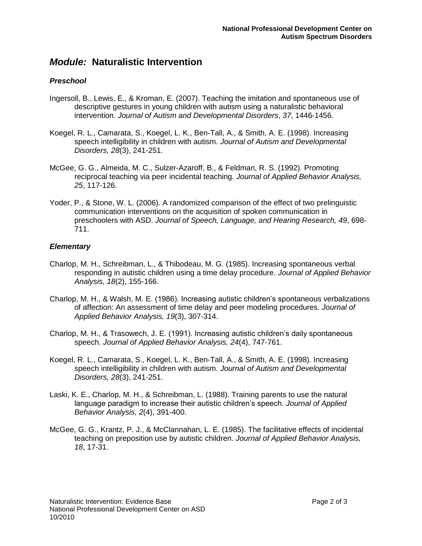### *Preschool*

- Ingersoll, B., Lewis, E., & Kroman, E. (2007). Teaching the imitation and spontaneous use of descriptive gestures in young children with autism using a naturalistic behavioral intervention. *Journal of Autism and Developmental Disorders*, *37*, 1446-1456.
- Koegel, R. L., Camarata, S., Koegel, L. K., Ben-Tall, A., & Smith, A. E. (1998). Increasing speech intelligibility in children with autism. *Journal of Autism and Developmental Disorders, 28*(3), 241-251.
- McGee, G. G., Almeida, M. C., Sulzer-Azaroff, B., & Feldman, R. S. (1992). Promoting reciprocal teaching via peer incidental teaching. *Journal of Applied Behavior Analysis, 25*, 117-126.
- Yoder, P., & Stone, W. L. (2006). A randomized comparison of the effect of two prelinguistic communication interventions on the acquisition of spoken communication in preschoolers with ASD. *Journal of Speech, Language, and Hearing Research, 49*, 698- 711.

### *Elementary*

- Charlop, M. H., Schreibman, L., & Thibodeau, M. G. (1985). Increasing spontaneous verbal responding in autistic children using a time delay procedure. *Journal of Applied Behavior Analysis, 18*(2), 155-166.
- Charlop, M. H., & Walsh, M. E. (1986). Increasing autistic children's spontaneous verbalizations of affection: An assessment of time delay and peer modeling procedures. *Journal of Applied Behavior Analysis, 19*(3), 307-314.
- Charlop, M. H., & Trasowech, J. E. (1991). Increasing autistic children's daily spontaneous speech. *Journal of Applied Behavior Analysis, 24*(4), 747-761.
- Koegel, R. L., Camarata, S., Koegel, L. K., Ben-Tall, A., & Smith, A. E. (1998). Increasing speech intelligibility in children with autism. *Journal of Autism and Developmental Disorders, 28*(3), 241-251.
- Laski, K. E., Charlop, M. H., & Schreibman, L. (1988). Training parents to use the natural language paradigm to increase their autistic children's speech. *Journal of Applied Behavior Analysis, 2*(4), 391-400.
- McGee, G. G., Krantz, P. J., & McClannahan, L. E. (1985). The facilitative effects of incidental teaching on preposition use by autistic children. *Journal of Applied Behavior Analysis, 18*, 17-31.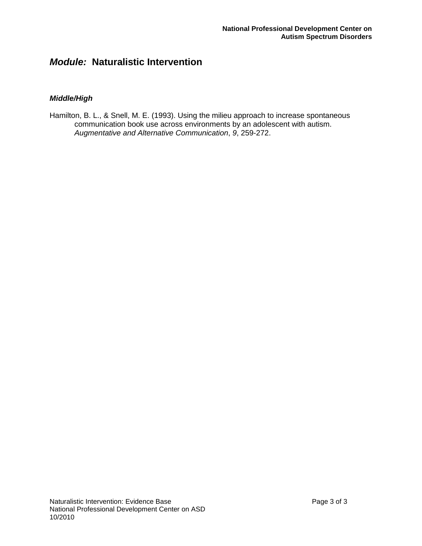### *Middle/High*

Hamilton, B. L., & Snell, M. E. (1993). Using the milieu approach to increase spontaneous communication book use across environments by an adolescent with autism. *Augmentative and Alternative Communication*, *9*, 259-272.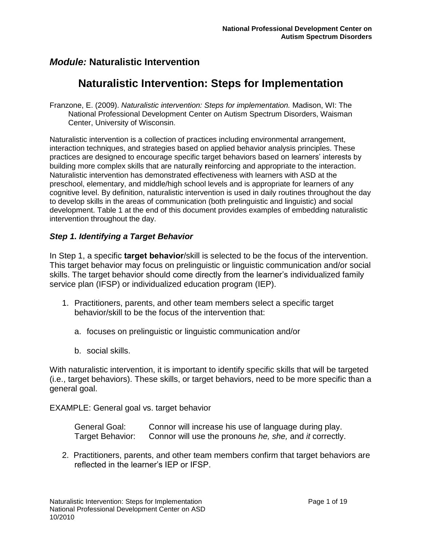# **Naturalistic Intervention: Steps for Implementation**

Franzone, E. (2009). *Naturalistic intervention: Steps for implementation.* Madison, WI: The National Professional Development Center on Autism Spectrum Disorders, Waisman Center, University of Wisconsin.

Naturalistic intervention is a collection of practices including environmental arrangement, interaction techniques, and strategies based on applied behavior analysis principles. These practices are designed to encourage specific target behaviors based on learners" interests by building more complex skills that are naturally **r**einforcing and appropriate to the interaction. Naturalistic intervention has demonstrated effectiveness with learners with ASD at the preschool, elementary, and middle/high school levels and is appropriate for learners of any cognitive level. By definition, naturalistic intervention is used in daily routines throughout the day to develop skills in the areas of communication (both prelinguistic and linguistic) and social development. Table 1 at the end of this document provides examples of embedding naturalistic intervention throughout the day.

### *Step 1. Identifying a Target Behavior*

In Step 1, a specific **target behavior**/skill is selected to be the focus of the intervention. This target behavior may focus on prelinguistic or linguistic communication and/or social skills. The target behavior should come directly from the learner's individualized family service plan (IFSP) or individualized education program (IEP).

- 1. Practitioners, parents, and other team members select a specific target behavior/skill to be the focus of the intervention that:
	- a. focuses on prelinguistic or linguistic communication and/or
	- b. social skills.

With naturalistic intervention, it is important to identify specific skills that will be targeted (i.e., target behaviors). These skills, or target behaviors, need to be more specific than a general goal.

EXAMPLE: General goal vs. target behavior

| General Goal:    | Connor will increase his use of language during play.   |
|------------------|---------------------------------------------------------|
| Target Behavior: | Connor will use the pronouns he, she, and it correctly. |

2. Practitioners, parents, and other team members confirm that target behaviors are reflected in the learner"s IEP or IFSP.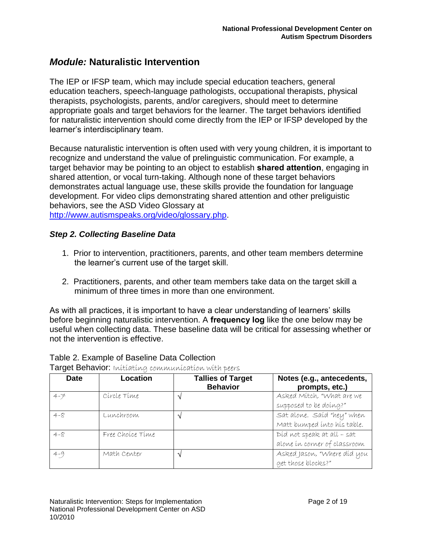The IEP or IFSP team, which may include special education teachers, general education teachers, speech-language pathologists, occupational therapists, physical therapists, psychologists, parents, and/or caregivers, should meet to determine appropriate goals and target behaviors for the learner. The target behaviors identified for naturalistic intervention should come directly from the IEP or IFSP developed by the learner"s interdisciplinary team.

Because naturalistic intervention is often used with very young children, it is important to recognize and understand the value of prelinguistic communication. For example, a target behavior may be pointing to an object to establish **shared attention**, engaging in shared attention, or vocal turn-taking. Although none of these target behaviors demonstrates actual language use, these skills provide the foundation for language development. For video clips demonstrating shared attention and other preliguistic behaviors, see the ASD Video Glossary at [http://www.autismspeaks.org/video/glossary.php.](http://www.autismspeaks.org/video/glossary.php)

### *Step 2. Collecting Baseline Data*

- 1. Prior to intervention, practitioners, parents, and other team members determine the learner"s current use of the target skill.
- 2. Practitioners, parents, and other team members take data on the target skill a minimum of three times in more than one environment.

As with all practices, it is important to have a clear understanding of learners" skills before beginning naturalistic intervention. A **frequency log** like the one below may be useful when collecting data. These baseline data will be critical for assessing whether or not the intervention is effective.

| <b>Date</b> | Location         | <b>Tallies of Target</b><br><b>Behavior</b> | Notes (e.g., antecedents,<br>prompts, etc.) |
|-------------|------------------|---------------------------------------------|---------------------------------------------|
| $4 - 7$     | Círcle Time      |                                             | Asked Mitch, "What are we                   |
|             |                  |                                             | supposed to be doing?"                      |
| $4 - 8$     | Lunchroom        |                                             | Sat alone. Said "hey" when                  |
|             |                  |                                             | Matt bumped into his table.                 |
| $4 - 8$     | Free Choice Time |                                             | Díd not speak at all - sat                  |
|             |                  |                                             | alone in corner of classroom                |
| $4 - 9$     | Math Center      |                                             | Asked Jason, "Where díd you                 |
|             |                  |                                             | get those blocks?"                          |

Table 2. Example of Baseline Data Collection Target Behavior: Initiating communication with peers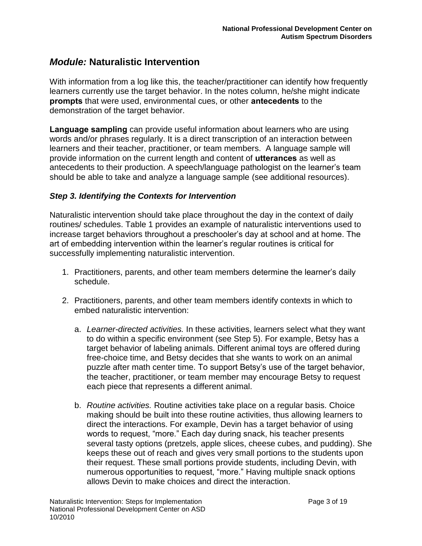With information from a log like this, the teacher/practitioner can identify how frequently learners currently use the target behavior. In the notes column, he/she might indicate **prompts** that were used, environmental cues, or other **antecedents** to the demonstration of the target behavior.

**Language sampling** can provide useful information about learners who are using words and/or phrases regularly. It is a direct transcription of an interaction between learners and their teacher, practitioner, or team members. A language sample will provide information on the current length and content of **utterances** as well as antecedents to their production. A speech/language pathologist on the learner"s team should be able to take and analyze a language sample (see additional resources).

### *Step 3. Identifying the Contexts for Intervention*

Naturalistic intervention should take place throughout the day in the context of daily routines/ schedules. Table 1 provides an example of naturalistic interventions used to increase target behaviors throughout a preschooler"s day at school and at home. The art of embedding intervention within the learner"s regular routines is critical for successfully implementing naturalistic intervention.

- 1. Practitioners, parents, and other team members determine the learner"s daily schedule.
- 2. Practitioners, parents, and other team members identify contexts in which to embed naturalistic intervention:
	- a. *Learner-directed activities.* In these activities, learners select what they want to do within a specific environment (see Step 5). For example, Betsy has a target behavior of labeling animals. Different animal toys are offered during free-choice time, and Betsy decides that she wants to work on an animal puzzle after math center time. To support Betsy"s use of the target behavior, the teacher, practitioner, or team member may encourage Betsy to request each piece that represents a different animal.
	- b. *Routine activities.* Routine activities take place on a regular basis. Choice making should be built into these routine activities, thus allowing learners to direct the interactions. For example, Devin has a target behavior of using words to request, "more." Each day during snack, his teacher presents several tasty options (pretzels, apple slices, cheese cubes, and pudding). She keeps these out of reach and gives very small portions to the students upon their request. These small portions provide students, including Devin, with numerous opportunities to request, "more." Having multiple snack options allows Devin to make choices and direct the interaction.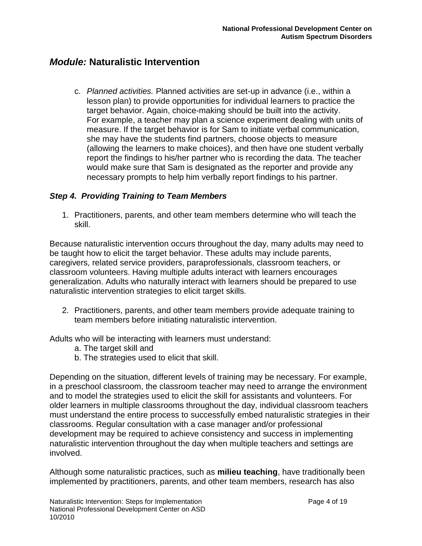c. *Planned activities.* Planned activities are set-up in advance (i.e., within a lesson plan) to provide opportunities for individual learners to practice the target behavior. Again, choice-making should be built into the activity. For example, a teacher may plan a science experiment dealing with units of measure. If the target behavior is for Sam to initiate verbal communication, she may have the students find partners, choose objects to measure (allowing the learners to make choices), and then have one student verbally report the findings to his/her partner who is recording the data. The teacher would make sure that Sam is designated as the reporter and provide any necessary prompts to help him verbally report findings to his partner.

### *Step 4. Providing Training to Team Members*

1. Practitioners, parents, and other team members determine who will teach the skill.

Because naturalistic intervention occurs throughout the day, many adults may need to be taught how to elicit the target behavior. These adults may include parents, caregivers, related service providers, paraprofessionals, classroom teachers, or classroom volunteers. Having multiple adults interact with learners encourages generalization. Adults who naturally interact with learners should be prepared to use naturalistic intervention strategies to elicit target skills.

2. Practitioners, parents, and other team members provide adequate training to team members before initiating naturalistic intervention.

Adults who will be interacting with learners must understand:

- a. The target skill and
- b. The strategies used to elicit that skill.

Depending on the situation, different levels of training may be necessary. For example, in a preschool classroom, the classroom teacher may need to arrange the environment and to model the strategies used to elicit the skill for assistants and volunteers. For older learners in multiple classrooms throughout the day, individual classroom teachers must understand the entire process to successfully embed naturalistic strategies in their classrooms. Regular consultation with a case manager and/or professional development may be required to achieve consistency and success in implementing naturalistic intervention throughout the day when multiple teachers and settings are involved.

Although some naturalistic practices, such as **milieu teaching**, have traditionally been implemented by practitioners, parents, and other team members, research has also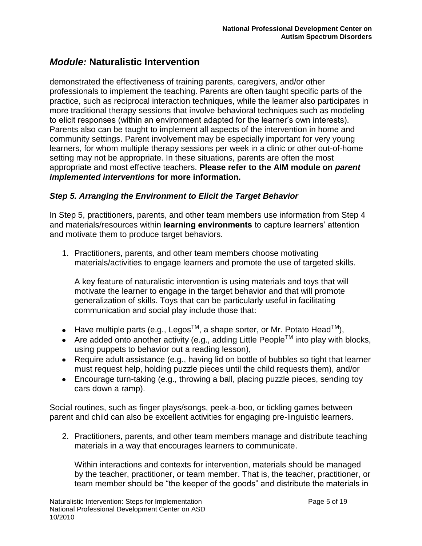demonstrated the effectiveness of training parents, caregivers, and/or other professionals to implement the teaching. Parents are often taught specific parts of the practice, such as reciprocal interaction techniques, while the learner also participates in more traditional therapy sessions that involve behavioral techniques such as modeling to elicit responses (within an environment adapted for the learner"s own interests). Parents also can be taught to implement all aspects of the intervention in home and community settings. Parent involvement may be especially important for very young learners, for whom multiple therapy sessions per week in a clinic or other out-of-home setting may not be appropriate. In these situations, parents are often the most appropriate and most effective teachers. **Please refer to the AIM module on** *parent implemented interventions* **for more information.**

### *Step 5. Arranging the Environment to Elicit the Target Behavior*

In Step 5, practitioners, parents, and other team members use information from Step 4 and materials/resources within **learning environments** to capture learners" attention and motivate them to produce target behaviors.

1. Practitioners, parents, and other team members choose motivating materials/activities to engage learners and promote the use of targeted skills.

A key feature of naturalistic intervention is using materials and toys that will motivate the learner to engage in the target behavior and that will promote generalization of skills. Toys that can be particularly useful in facilitating communication and social play include those that:

- Have multiple parts (e.g., Legos<sup>TM</sup>, a shape sorter, or Mr. Potato Head<sup>TM</sup>),
- Are added onto another activity (e.g., adding Little People<sup>TM</sup> into play with blocks, using puppets to behavior out a reading lesson),
- Require adult assistance (e.g., having lid on bottle of bubbles so tight that learner must request help, holding puzzle pieces until the child requests them), and/or
- Encourage turn-taking (e.g., throwing a ball, placing puzzle pieces, sending toy cars down a ramp).

Social routines, such as finger plays/songs, peek-a-boo, or tickling games between parent and child can also be excellent activities for engaging pre-linguistic learners.

2. Practitioners, parents, and other team members manage and distribute teaching materials in a way that encourages learners to communicate.

Within interactions and contexts for intervention, materials should be managed by the teacher, practitioner, or team member. That is, the teacher, practitioner, or team member should be "the keeper of the goods" and distribute the materials in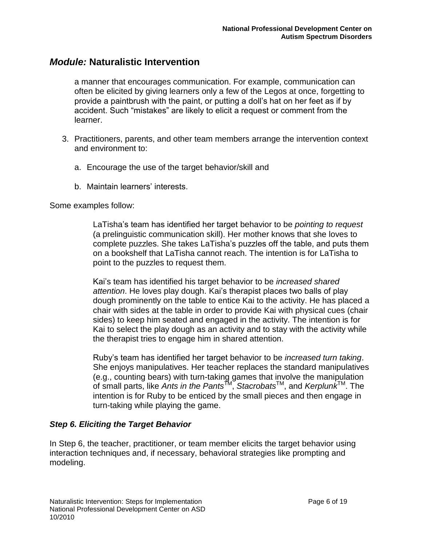a manner that encourages communication. For example, communication can often be elicited by giving learners only a few of the Legos at once, forgetting to provide a paintbrush with the paint, or putting a doll"s hat on her feet as if by accident. Such "mistakes" are likely to elicit a request or comment from the learner.

- 3. Practitioners, parents, and other team members arrange the intervention context and environment to:
	- a. Encourage the use of the target behavior/skill and
	- b. Maintain learners' interests.

### Some examples follow:

LaTisha"s team has identified her target behavior to be *pointing to request* (a prelinguistic communication skill). Her mother knows that she loves to complete puzzles. She takes LaTisha"s puzzles off the table, and puts them on a bookshelf that LaTisha cannot reach. The intention is for LaTisha to point to the puzzles to request them.

Kai"s team has identified his target behavior to be *increased shared attention*. He loves play dough. Kai"s therapist places two balls of play dough prominently on the table to entice Kai to the activity. He has placed a chair with sides at the table in order to provide Kai with physical cues (chair sides) to keep him seated and engaged in the activity. The intention is for Kai to select the play dough as an activity and to stay with the activity while the therapist tries to engage him in shared attention.

Ruby"s team has identified her target behavior to be *increased turn taking*. She enjoys manipulatives. Her teacher replaces the standard manipulatives (e.g., counting bears) with turn-taking games that involve the manipulation of small parts, like *Ants in the Pants*TM , *Stacrobats*TM, and *Kerplunk* TM. The intention is for Ruby to be enticed by the small pieces and then engage in turn-taking while playing the game.

### *Step 6. Eliciting the Target Behavior*

In Step 6, the teacher, practitioner, or team member elicits the target behavior using interaction techniques and, if necessary, behavioral strategies like prompting and modeling.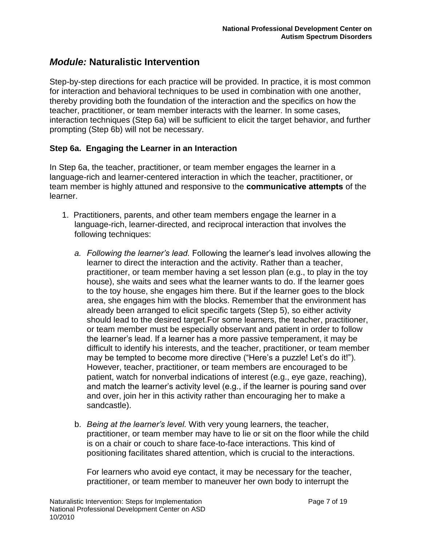Step-by-step directions for each practice will be provided. In practice, it is most common for interaction and behavioral techniques to be used in combination with one another, thereby providing both the foundation of the interaction and the specifics on how the teacher, practitioner, or team member interacts with the learner. In some cases, interaction techniques (Step 6a) will be sufficient to elicit the target behavior, and further prompting (Step 6b) will not be necessary.

### **Step 6a. Engaging the Learner in an Interaction**

In Step 6a, the teacher, practitioner, or team member engages the learner in a language-rich and learner-centered interaction in which the teacher, practitioner, or team member is highly attuned and responsive to the **communicative attempts** of the learner.

- 1. Practitioners, parents, and other team members engage the learner in a language-rich, learner-directed, and reciprocal interaction that involves the following techniques:
	- *a. Following the learner"s lead.* Following the learner"s lead involves allowing the learner to direct the interaction and the activity. Rather than a teacher, practitioner, or team member having a set lesson plan (e.g., to play in the toy house), she waits and sees what the learner wants to do. If the learner goes to the toy house, she engages him there. But if the learner goes to the block area, she engages him with the blocks. Remember that the environment has already been arranged to elicit specific targets (Step 5), so either activity should lead to the desired target.For some learners, the teacher, practitioner, or team member must be especially observant and patient in order to follow the learner"s lead. If a learner has a more passive temperament, it may be difficult to identify his interests, and the teacher, practitioner, or team member may be tempted to become more directive ("Here's a puzzle! Let's do it!"). However, teacher, practitioner, or team members are encouraged to be patient, watch for nonverbal indications of interest (e.g., eye gaze, reaching), and match the learner"s activity level (e.g., if the learner is pouring sand over and over, join her in this activity rather than encouraging her to make a sandcastle).
	- b. *Being at the learner"s level.* With very young learners, the teacher, practitioner, or team member may have to lie or sit on the floor while the child is on a chair or couch to share face-to-face interactions. This kind of positioning facilitates shared attention, which is crucial to the interactions.

For learners who avoid eye contact, it may be necessary for the teacher, practitioner, or team member to maneuver her own body to interrupt the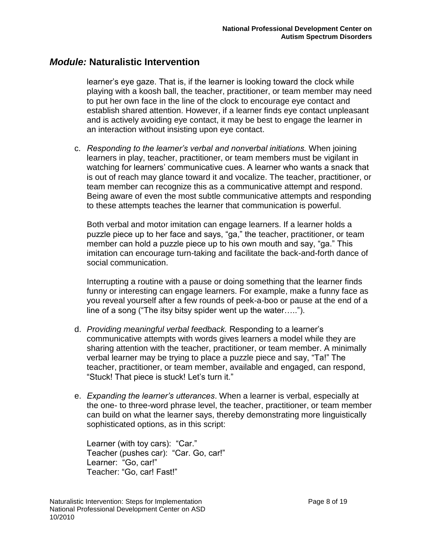learner"s eye gaze. That is, if the learner is looking toward the clock while playing with a koosh ball, the teacher, practitioner, or team member may need to put her own face in the line of the clock to encourage eye contact and establish shared attention. However, if a learner finds eye contact unpleasant and is actively avoiding eye contact, it may be best to engage the learner in an interaction without insisting upon eye contact.

c. *Responding to the learner"s verbal and nonverbal initiations.* When joining learners in play, teacher, practitioner, or team members must be vigilant in watching for learners' communicative cues. A learner who wants a snack that is out of reach may glance toward it and vocalize. The teacher, practitioner, or team member can recognize this as a communicative attempt and respond. Being aware of even the most subtle communicative attempts and responding to these attempts teaches the learner that communication is powerful.

Both verbal and motor imitation can engage learners. If a learner holds a puzzle piece up to her face and says, "ga," the teacher, practitioner, or team member can hold a puzzle piece up to his own mouth and say, "ga." This imitation can encourage turn-taking and facilitate the back-and-forth dance of social communication.

Interrupting a routine with a pause or doing something that the learner finds funny or interesting can engage learners. For example, make a funny face as you reveal yourself after a few rounds of peek-a-boo or pause at the end of a line of a song ("The itsy bitsy spider went up the water…..").

- d. *Providing meaningful verbal feedback.* Responding to a learner"s communicative attempts with words gives learners a model while they are sharing attention with the teacher, practitioner, or team member. A minimally verbal learner may be trying to place a puzzle piece and say, "Ta!" The teacher, practitioner, or team member, available and engaged, can respond, "Stuck! That piece is stuck! Let"s turn it."
- e. *Expanding the learner"s utterances*. When a learner is verbal, especially at the one- to three-word phrase level, the teacher, practitioner, or team member can build on what the learner says, thereby demonstrating more linguistically sophisticated options, as in this script:

Learner (with toy cars): "Car." Teacher (pushes car): "Car. Go, car!" Learner: "Go, car!" Teacher: "Go, car! Fast!"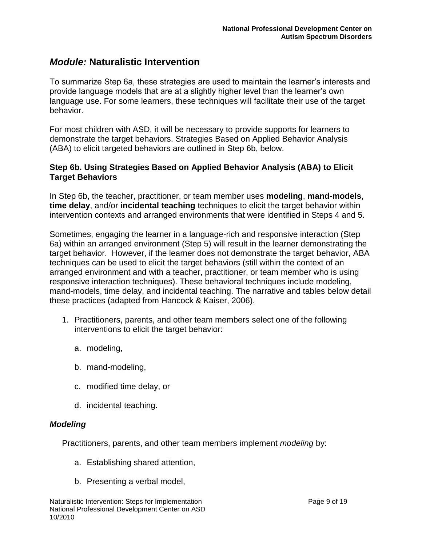To summarize Step 6a, these strategies are used to maintain the learner"s interests and provide language models that are at a slightly higher level than the learner"s own language use. For some learners, these techniques will facilitate their use of the target behavior.

For most children with ASD, it will be necessary to provide supports for learners to demonstrate the target behaviors. Strategies Based on Applied Behavior Analysis (ABA) to elicit targeted behaviors are outlined in Step 6b, below.

### **Step 6b. Using Strategies Based on Applied Behavior Analysis (ABA) to Elicit Target Behaviors**

In Step 6b, the teacher, practitioner, or team member uses **modeling**, **mand-models**, **time delay**, and/or **incidental teaching** techniques to elicit the target behavior within intervention contexts and arranged environments that were identified in Steps 4 and 5.

Sometimes, engaging the learner in a language-rich and responsive interaction (Step 6a) within an arranged environment (Step 5) will result in the learner demonstrating the target behavior. However, if the learner does not demonstrate the target behavior, ABA techniques can be used to elicit the target behaviors (still within the context of an arranged environment and with a teacher, practitioner, or team member who is using responsive interaction techniques). These behavioral techniques include modeling, mand-models, time delay, and incidental teaching. The narrative and tables below detail these practices (adapted from Hancock & Kaiser, 2006).

- 1. Practitioners, parents, and other team members select one of the following interventions to elicit the target behavior:
	- a. modeling,
	- b. mand-modeling,
	- c. modified time delay, or
	- d. incidental teaching.

### *Modeling*

Practitioners, parents, and other team members implement *modeling* by:

- a. Establishing shared attention,
- b. Presenting a verbal model,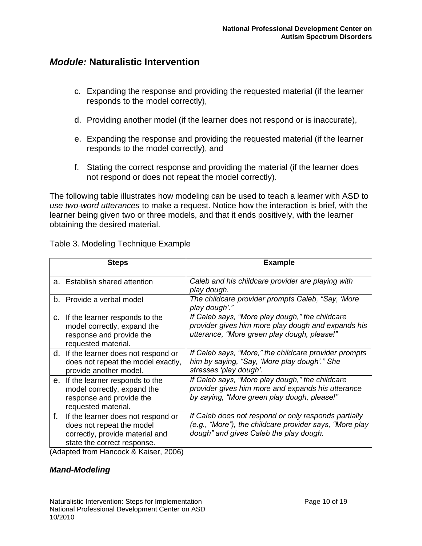- c. Expanding the response and providing the requested material (if the learner responds to the model correctly),
- d. Providing another model (if the learner does not respond or is inaccurate),
- e. Expanding the response and providing the requested material (if the learner responds to the model correctly), and
- f. Stating the correct response and providing the material (if the learner does not respond or does not repeat the model correctly).

The following table illustrates how modeling can be used to teach a learner with ASD to *use two-word utterances* to make a request. Notice how the interaction is brief, with the learner being given two or three models, and that it ends positively, with the learner obtaining the desired material.

|    | <b>Steps</b>                                                                                                                      | <b>Example</b>                                                                                                                                             |
|----|-----------------------------------------------------------------------------------------------------------------------------------|------------------------------------------------------------------------------------------------------------------------------------------------------------|
|    | a. Establish shared attention                                                                                                     | Caleb and his childcare provider are playing with<br>play dough.                                                                                           |
|    | b. Provide a verbal model                                                                                                         | The childcare provider prompts Caleb, "Say, 'More<br>play dough'."                                                                                         |
|    | c. If the learner responds to the<br>model correctly, expand the<br>response and provide the<br>requested material.               | If Caleb says, "More play dough," the childcare<br>provider gives him more play dough and expands his<br>utterance, "More green play dough, please!"       |
|    | d. If the learner does not respond or<br>does not repeat the model exactly,<br>provide another model.                             | If Caleb says, "More," the childcare provider prompts<br>him by saying, "Say, 'More play dough'." She<br>stresses 'play dough'.                            |
|    | e. If the learner responds to the<br>model correctly, expand the<br>response and provide the<br>requested material.               | If Caleb says, "More play dough," the childcare<br>provider gives him more and expands his utterance<br>by saying, "More green play dough, please!"        |
| f. | If the learner does not respond or<br>does not repeat the model<br>correctly, provide material and<br>state the correct response. | If Caleb does not respond or only responds partially<br>(e.g., "More"), the childcare provider says, "More play"<br>dough" and gives Caleb the play dough. |

Table 3. Modeling Technique Example

(Adapted from Hancock & Kaiser, 2006)

### *Mand-Modeling*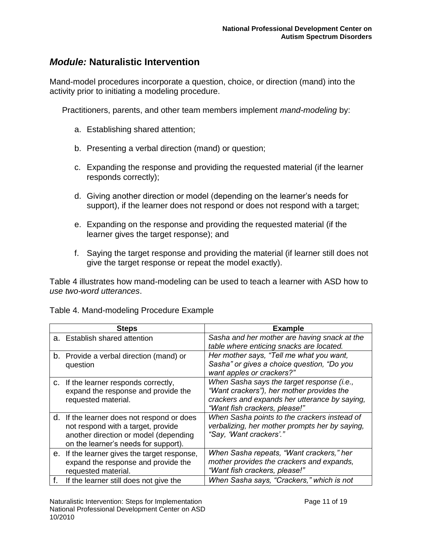Mand-model procedures incorporate a question, choice, or direction (mand) into the activity prior to initiating a modeling procedure.

Practitioners, parents, and other team members implement *mand-modeling* by:

- a. Establishing shared attention;
- b. Presenting a verbal direction (mand) or question;
- c. Expanding the response and providing the requested material (if the learner responds correctly);
- d. Giving another direction or model (depending on the learner"s needs for support), if the learner does not respond or does not respond with a target;
- e. Expanding on the response and providing the requested material (if the learner gives the target response); and
- f. Saying the target response and providing the material (if learner still does not give the target response or repeat the model exactly).

Table 4 illustrates how mand-modeling can be used to teach a learner with ASD how to *use two-word utterances*.

| Table 4. Mand-modeling Procedure Example |  |
|------------------------------------------|--|
|------------------------------------------|--|

|    | <b>Steps</b>                                                                                                                                                      | <b>Example</b>                                                                                                                                                            |
|----|-------------------------------------------------------------------------------------------------------------------------------------------------------------------|---------------------------------------------------------------------------------------------------------------------------------------------------------------------------|
|    | a. Establish shared attention                                                                                                                                     | Sasha and her mother are having snack at the<br>table where enticing snacks are located.                                                                                  |
|    | b. Provide a verbal direction (mand) or<br>question                                                                                                               | Her mother says, "Tell me what you want,<br>Sasha" or gives a choice question, "Do you<br>want apples or crackers?"                                                       |
|    | c. If the learner responds correctly,<br>expand the response and provide the<br>requested material.                                                               | When Sasha says the target response (i.e.,<br>"Want crackers"), her mother provides the<br>crackers and expands her utterance by saying,<br>"Want fish crackers, please!" |
|    | d. If the learner does not respond or does<br>not respond with a target, provide<br>another direction or model (depending<br>on the learner's needs for support). | When Sasha points to the crackers instead of<br>verbalizing, her mother prompts her by saying,<br>"Say, 'Want crackers'."                                                 |
|    | e. If the learner gives the target response,<br>expand the response and provide the<br>requested material.                                                        | When Sasha repeats, "Want crackers," her<br>mother provides the crackers and expands,<br>"Want fish crackers, please!"                                                    |
| f. | If the learner still does not give the                                                                                                                            | When Sasha says, "Crackers," which is not                                                                                                                                 |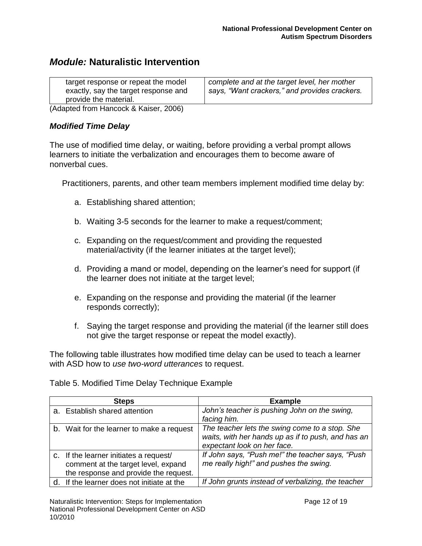| target response or repeat the model  | complete and at the target level, her mother  |
|--------------------------------------|-----------------------------------------------|
| exactly, say the target response and | says, "Want crackers," and provides crackers. |
| provide the material.                |                                               |

(Adapted from Hancock & Kaiser, 2006)

### *Modified Time Delay*

The use of modified time delay, or waiting, before providing a verbal prompt allows learners to initiate the verbalization and encourages them to become aware of nonverbal cues.

Practitioners, parents, and other team members implement modified time delay by:

- a. Establishing shared attention;
- b. Waiting 3-5 seconds for the learner to make a request/comment;
- c. Expanding on the request/comment and providing the requested material/activity (if the learner initiates at the target level);
- d. Providing a mand or model, depending on the learner"s need for support (if the learner does not initiate at the target level;
- e. Expanding on the response and providing the material (if the learner responds correctly);
- f. Saying the target response and providing the material (if the learner still does not give the target response or repeat the model exactly).

The following table illustrates how modified time delay can be used to teach a learner with ASD how to *use two-word utterances* to request.

Table 5. Modified Time Delay Technique Example

| <b>Steps</b>                                                                                                           | <b>Example</b>                                                                                                                      |
|------------------------------------------------------------------------------------------------------------------------|-------------------------------------------------------------------------------------------------------------------------------------|
| a. Establish shared attention                                                                                          | John's teacher is pushing John on the swing,<br>facing him.                                                                         |
| b. Wait for the learner to make a request                                                                              | The teacher lets the swing come to a stop. She<br>waits, with her hands up as if to push, and has an<br>expectant look on her face. |
| c. If the learner initiates a request/<br>comment at the target level, expand<br>the response and provide the request. | If John says, "Push me!" the teacher says, "Push<br>me really high!" and pushes the swing.                                          |
| d. If the learner does not initiate at the                                                                             | If John grunts instead of verbalizing, the teacher                                                                                  |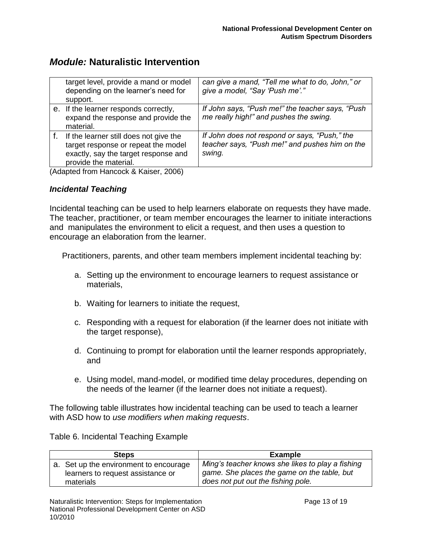| target level, provide a mand or model<br>depending on the learner's need for<br>support.                                                       | can give a mand, "Tell me what to do, John," or<br>give a model, "Say 'Push me'."                         |
|------------------------------------------------------------------------------------------------------------------------------------------------|-----------------------------------------------------------------------------------------------------------|
| e. If the learner responds correctly,<br>expand the response and provide the<br>material.                                                      | If John says, "Push me!" the teacher says, "Push<br>me really high!" and pushes the swing.                |
| If the learner still does not give the<br>target response or repeat the model<br>exactly, say the target response and<br>provide the material. | If John does not respond or says, "Push," the<br>teacher says, "Push me!" and pushes him on the<br>swing. |

(Adapted from Hancock & Kaiser, 2006)

### *Incidental Teaching*

Incidental teaching can be used to help learners elaborate on requests they have made. The teacher, practitioner, or team member encourages the learner to initiate interactions and manipulates the environment to elicit a request, and then uses a question to encourage an elaboration from the learner.

Practitioners, parents, and other team members implement incidental teaching by:

- a. Setting up the environment to encourage learners to request assistance or materials,
- b. Waiting for learners to initiate the request,
- c. Responding with a request for elaboration (if the learner does not initiate with the target response),
- d. Continuing to prompt for elaboration until the learner responds appropriately, and
- e. Using model, mand-model, or modified time delay procedures, depending on the needs of the learner (if the learner does not initiate a request).

The following table illustrates how incidental teaching can be used to teach a learner with ASD how to *use modifiers when making requests*.

Table 6. Incidental Teaching Example

| <b>Steps</b>                                                                             | Example                                                                                                                               |
|------------------------------------------------------------------------------------------|---------------------------------------------------------------------------------------------------------------------------------------|
| a. Set up the environment to encourage<br>learners to request assistance or<br>materials | Ming's teacher knows she likes to play a fishing<br>game. She places the game on the table, but<br>does not put out the fishing pole. |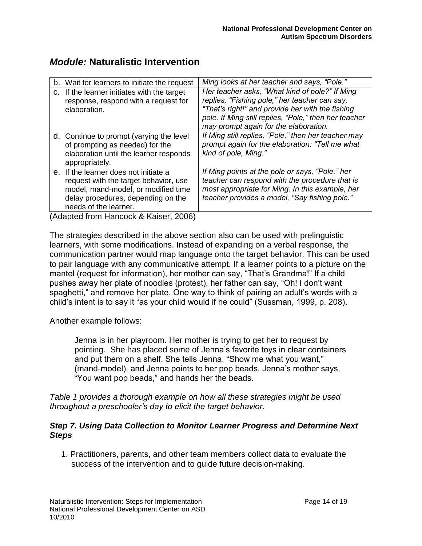| b. Wait for learners to initiate the request                                                                                                                                         | Ming looks at her teacher and says, "Pole."                                                                                                                                                                                                           |
|--------------------------------------------------------------------------------------------------------------------------------------------------------------------------------------|-------------------------------------------------------------------------------------------------------------------------------------------------------------------------------------------------------------------------------------------------------|
| c. If the learner initiates with the target<br>response, respond with a request for<br>elaboration.                                                                                  | Her teacher asks, "What kind of pole?" If Ming<br>replies, "Fishing pole," her teacher can say,<br>"That's right!" and provide her with the fishing<br>pole. If Ming still replies, "Pole," then her teacher<br>may prompt again for the elaboration. |
| d. Continue to prompt (varying the level<br>of prompting as needed) for the<br>elaboration until the learner responds<br>appropriately.                                              | If Ming still replies, "Pole," then her teacher may<br>prompt again for the elaboration: "Tell me what<br>kind of pole, Ming."                                                                                                                        |
| e. If the learner does not initiate a<br>request with the target behavior, use<br>model, mand-model, or modified time<br>delay procedures, depending on the<br>needs of the learner. | If Ming points at the pole or says, "Pole," her<br>teacher can respond with the procedure that is<br>most appropriate for Ming. In this example, her<br>teacher provides a model, "Say fishing pole."                                                 |
| $(A$ dented from Henseek $9$ Keiser $2000$                                                                                                                                           |                                                                                                                                                                                                                                                       |

(Adapted from Hancock & Kaiser, 2006)

The strategies described in the above section also can be used with prelinguistic learners, with some modifications. Instead of expanding on a verbal response, the communication partner would map language onto the target behavior. This can be used to pair language with any communicative attempt. If a learner points to a picture on the mantel (request for information), her mother can say, "That's Grandma!" If a child pushes away her plate of noodles (protest), her father can say, "Oh! I don"t want spaghetti," and remove her plate. One way to think of pairing an adult's words with a child"s intent is to say it "as your child would if he could" (Sussman, 1999, p. 208).

Another example follows:

Jenna is in her playroom. Her mother is trying to get her to request by pointing. She has placed some of Jenna"s favorite toys in clear containers and put them on a shelf. She tells Jenna, "Show me what you want," (mand-model), and Jenna points to her pop beads. Jenna"s mother says, "You want pop beads," and hands her the beads.

*Table 1 provides a thorough example on how all these strategies might be used throughout a preschooler"s day to elicit the target behavior.*

### *Step 7. Using Data Collection to Monitor Learner Progress and Determine Next Steps*

 1. Practitioners, parents, and other team members collect data to evaluate the success of the intervention and to guide future decision-making.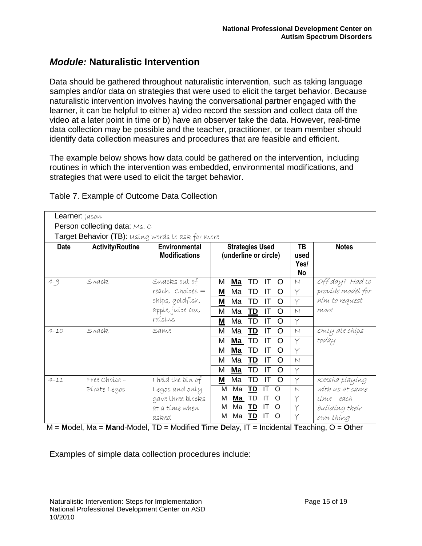Data should be gathered throughout naturalistic intervention, such as taking language samples and/or data on strategies that were used to elicit the target behavior. Because naturalistic intervention involves having the conversational partner engaged with the learner, it can be helpful to either a) video record the session and collect data off the video at a later point in time or b) have an observer take the data. However, real-time data collection may be possible and the teacher, practitioner, or team member should identify data collection measures and procedures that are feasible and efficient.

The example below shows how data could be gathered on the intervention, including routines in which the intervention was embedded, environmental modifications, and strategies that were used to elicit the target behavior.

| Learner: Jason |                                                          |                      |                                 |                         |                   |
|----------------|----------------------------------------------------------|----------------------|---------------------------------|-------------------------|-------------------|
|                | <b>Person collecting data: Ms. C</b>                     |                      |                                 |                         |                   |
|                | <b>Target Behavior (TB):</b> using words to ask for more |                      |                                 |                         |                   |
| <b>Date</b>    | <b>Activity/Routine</b>                                  | Environmental        | <b>Strategies Used</b>          | TB                      | <b>Notes</b>      |
|                |                                                          | <b>Modifications</b> | (underline or circle)           | used                    |                   |
|                |                                                          |                      |                                 | Yes/                    |                   |
|                |                                                          |                      |                                 | <b>No</b>               |                   |
| $4 - 9$        | Snack.                                                   | Snacks out of        | M<br>Ma<br>TD<br>IТ<br>O        | N                       | Off day? Had to   |
|                |                                                          | $reach.$ Choices $=$ | Ma<br>TD<br>M<br>ΙT<br>O        | Y                       | províde model for |
|                |                                                          | chíps, goldfísh,     | M<br>Ma<br>TD<br>IT<br>O        | $\vee$                  | him to request    |
|                |                                                          | apple, juice box,    | M<br>Ma<br>TD<br>IT<br>O        | $\vee$                  | more              |
|                |                                                          | raísíns              | TD<br>M<br>Ma<br>IT<br>O        | Υ                       |                   |
| $4 - 10$       | Snack.                                                   | Same                 | M<br>Ma<br>TD<br>IT<br>O        | $\vee$                  | Only ate chips    |
|                |                                                          |                      | TD<br>IT<br>M<br>Ma<br>O        | Y                       | today             |
|                |                                                          |                      | TD<br>М<br><u>Ma</u><br>IT<br>O |                         |                   |
|                |                                                          |                      | м<br>Ma<br>TD<br>IT<br>O        | $\vee$                  |                   |
|                |                                                          |                      | M<br>Ma<br>TD<br>IT<br>O        | ⋎                       |                   |
| $4 - 11$       | Free Choice -                                            | I held the bin of    | Ma<br>TD<br><u>M</u><br>IT<br>O |                         | Keesha playing    |
|                | Pirate Legos                                             | Legos and only       | TD<br>M<br>Ma<br>IT<br>O        | $\overline{\mathsf{N}}$ | with us at same   |
|                |                                                          | gave three blocks    | TD<br>M<br>Ma<br>IT<br>O        | Y                       | time - each       |
|                |                                                          | at a tíme when       | M<br>Ma<br><u>TD</u><br>O<br>IT | Y                       | building their    |
|                |                                                          | asked                | Ma<br><u>TD</u><br>м<br>IT<br>O |                         | own thing         |

Table 7. Example of Outcome Data Collection

M = **M**odel, Ma = **Ma**nd-Model, TD = Modified **T**ime **D**elay, IT = **I**ncidental **T**eaching, O = **O**ther

Examples of simple data collection procedures include: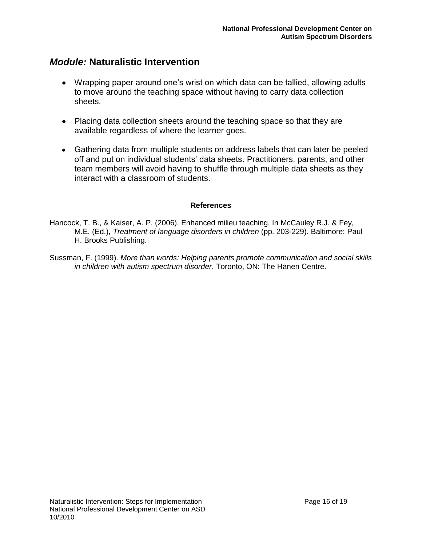- Wrapping paper around one's wrist on which data can be tallied, allowing adults to move around the teaching space without having to carry data collection sheets.
- Placing data collection sheets around the teaching space so that they are available regardless of where the learner goes.
- Gathering data from multiple students on address labels that can later be peeled off and put on individual students" data sheets. Practitioners, parents, and other team members will avoid having to shuffle through multiple data sheets as they interact with a classroom of students.

### **References**

Hancock, T. B., & Kaiser, A. P. (2006). Enhanced milieu teaching. In McCauley R.J. & Fey, M.E. (Ed.), *Treatment of language disorders in children* (pp. 203-229). Baltimore: Paul H. Brooks Publishing.

Sussman, F. (1999). *More than words: Helping parents promote communication and social skills in children with autism spectrum disorder*. Toronto, ON: The Hanen Centre.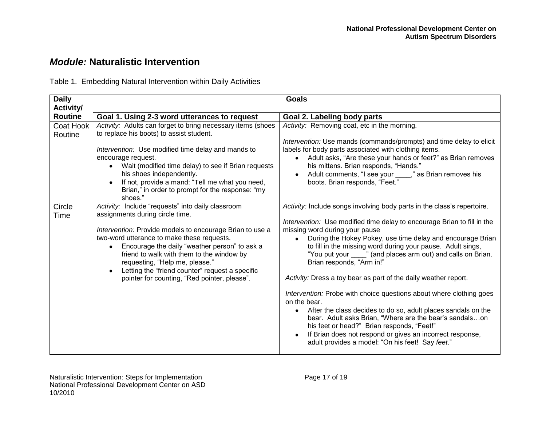Table 1. Embedding Natural Intervention within Daily Activities

| <b>Daily</b><br>Activity/ | <b>Goals</b>                                                                                                                                                                                                                                                                                                                                                                                                                                   |                                                                                                                                                                                                                                                                                                                                                                                                                                                                                                                                                                                                                                                                                                                                                                                                                                                                                  |  |
|---------------------------|------------------------------------------------------------------------------------------------------------------------------------------------------------------------------------------------------------------------------------------------------------------------------------------------------------------------------------------------------------------------------------------------------------------------------------------------|----------------------------------------------------------------------------------------------------------------------------------------------------------------------------------------------------------------------------------------------------------------------------------------------------------------------------------------------------------------------------------------------------------------------------------------------------------------------------------------------------------------------------------------------------------------------------------------------------------------------------------------------------------------------------------------------------------------------------------------------------------------------------------------------------------------------------------------------------------------------------------|--|
| <b>Routine</b>            | Goal 1. Using 2-3 word utterances to request                                                                                                                                                                                                                                                                                                                                                                                                   | Goal 2. Labeling body parts                                                                                                                                                                                                                                                                                                                                                                                                                                                                                                                                                                                                                                                                                                                                                                                                                                                      |  |
| Coat Hook<br>Routine      | Activity: Adults can forget to bring necessary items (shoes<br>to replace his boots) to assist student.<br>Intervention: Use modified time delay and mands to<br>encourage request.<br>Wait (modified time delay) to see if Brian requests<br>his shoes independently.<br>If not, provide a mand: "Tell me what you need,<br>Brian," in order to prompt for the response: "my<br>shoes."                                                       | Activity: Removing coat, etc in the morning.<br>Intervention: Use mands (commands/prompts) and time delay to elicit<br>labels for body parts associated with clothing items.<br>Adult asks, "Are these your hands or feet?" as Brian removes<br>his mittens. Brian responds, "Hands."<br>Adult comments, "I see your ____," as Brian removes his<br>boots. Brian responds, "Feet."                                                                                                                                                                                                                                                                                                                                                                                                                                                                                               |  |
| Circle<br>Time            | Activity: Include "requests" into daily classroom<br>assignments during circle time.<br>Intervention: Provide models to encourage Brian to use a<br>two-word utterance to make these requests.<br>Encourage the daily "weather person" to ask a<br>$\bullet$<br>friend to walk with them to the window by<br>requesting, "Help me, please."<br>Letting the "friend counter" request a specific<br>pointer for counting, "Red pointer, please". | Activity: Include songs involving body parts in the class's repertoire.<br>Intervention: Use modified time delay to encourage Brian to fill in the<br>missing word during your pause<br>During the Hokey Pokey, use time delay and encourage Brian<br>$\bullet$<br>to fill in the missing word during your pause. Adult sings,<br>"You put your ____" (and places arm out) and calls on Brian.<br>Brian responds, "Arm in!"<br>Activity: Dress a toy bear as part of the daily weather report.<br>Intervention: Probe with choice questions about where clothing goes<br>on the bear.<br>After the class decides to do so, adult places sandals on the<br>bear. Adult asks Brian, "Where are the bear's sandalson<br>his feet or head?" Brian responds, "Feet!"<br>If Brian does not respond or gives an incorrect response,<br>adult provides a model: "On his feet! Say feet." |  |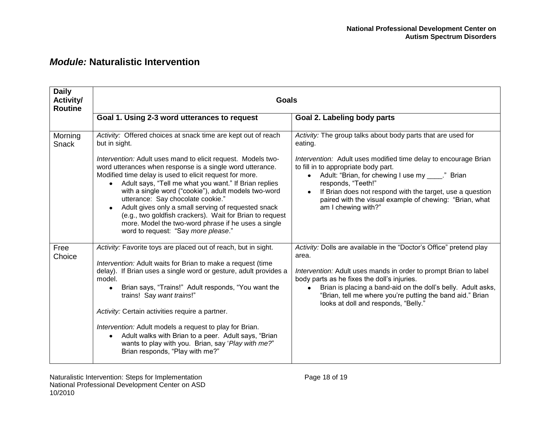| <b>Daily</b><br>Activity/<br><b>Routine</b> | <b>Goals</b>                                                                                                                                                                                                                                                                                                                                                                                                                                                                                                                                                                             |                                                                                                                                                                                                                                                                                                                                                                      |  |  |  |  |  |  |
|---------------------------------------------|------------------------------------------------------------------------------------------------------------------------------------------------------------------------------------------------------------------------------------------------------------------------------------------------------------------------------------------------------------------------------------------------------------------------------------------------------------------------------------------------------------------------------------------------------------------------------------------|----------------------------------------------------------------------------------------------------------------------------------------------------------------------------------------------------------------------------------------------------------------------------------------------------------------------------------------------------------------------|--|--|--|--|--|--|
|                                             | Goal 1. Using 2-3 word utterances to request                                                                                                                                                                                                                                                                                                                                                                                                                                                                                                                                             | Goal 2. Labeling body parts                                                                                                                                                                                                                                                                                                                                          |  |  |  |  |  |  |
| Morning<br><b>Snack</b>                     | Activity: Offered choices at snack time are kept out of reach<br>but in sight.                                                                                                                                                                                                                                                                                                                                                                                                                                                                                                           | Activity: The group talks about body parts that are used for<br>eating.                                                                                                                                                                                                                                                                                              |  |  |  |  |  |  |
|                                             | Intervention: Adult uses mand to elicit request. Models two-<br>word utterances when response is a single word utterance.<br>Modified time delay is used to elicit request for more.<br>Adult says, "Tell me what you want." If Brian replies<br>$\bullet$<br>with a single word ("cookie"), adult models two-word<br>utterance: Say chocolate cookie."<br>Adult gives only a small serving of requested snack<br>(e.g., two goldfish crackers). Wait for Brian to request<br>more. Model the two-word phrase if he uses a single<br>word to request: "Say more please."                 | Intervention: Adult uses modified time delay to encourage Brian<br>to fill in to appropriate body part.<br>Adult: "Brian, for chewing I use my " Brian<br>$\bullet$<br>responds, "Teeth!"<br>If Brian does not respond with the target, use a question<br>paired with the visual example of chewing: "Brian, what<br>am I chewing with?"                             |  |  |  |  |  |  |
| Free<br>Choice                              | Activity: Favorite toys are placed out of reach, but in sight.<br>Intervention: Adult waits for Brian to make a request (time<br>delay). If Brian uses a single word or gesture, adult provides a<br>model.<br>Brian says, "Trains!" Adult responds, "You want the<br>$\bullet$<br>trains! Say want trains!"<br>Activity: Certain activities require a partner.<br>Intervention: Adult models a request to play for Brian.<br>Adult walks with Brian to a peer. Adult says, "Brian<br>$\bullet$<br>wants to play with you. Brian, say 'Play with me?"<br>Brian responds, "Play with me?" | Activity: Dolls are available in the "Doctor's Office" pretend play<br>area.<br>Intervention: Adult uses mands in order to prompt Brian to label<br>body parts as he fixes the doll's injuries.<br>Brian is placing a band-aid on the doll's belly. Adult asks,<br>"Brian, tell me where you're putting the band aid." Brian<br>looks at doll and responds, "Belly." |  |  |  |  |  |  |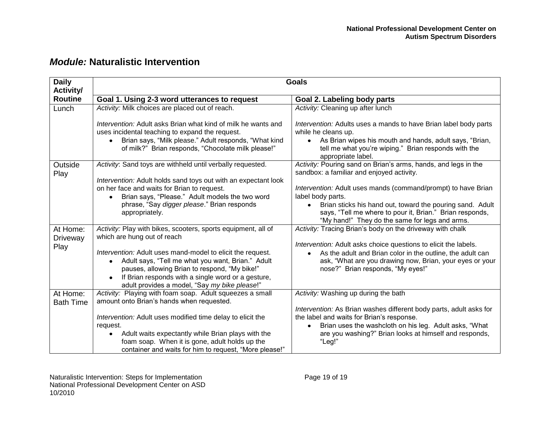| <b>Daily</b><br>Activity/    | <b>Goals</b>                                                                                                                                                                                                                                                                                                                                                                                      |                                                                                                                                                                                                                                                                                                                                                                              |  |  |  |  |
|------------------------------|---------------------------------------------------------------------------------------------------------------------------------------------------------------------------------------------------------------------------------------------------------------------------------------------------------------------------------------------------------------------------------------------------|------------------------------------------------------------------------------------------------------------------------------------------------------------------------------------------------------------------------------------------------------------------------------------------------------------------------------------------------------------------------------|--|--|--|--|
| <b>Routine</b>               | Goal 1. Using 2-3 word utterances to request                                                                                                                                                                                                                                                                                                                                                      | Goal 2. Labeling body parts                                                                                                                                                                                                                                                                                                                                                  |  |  |  |  |
| Lunch                        | Activity: Milk choices are placed out of reach.                                                                                                                                                                                                                                                                                                                                                   | Activity: Cleaning up after lunch                                                                                                                                                                                                                                                                                                                                            |  |  |  |  |
|                              | Intervention: Adult asks Brian what kind of milk he wants and<br>uses incidental teaching to expand the request.<br>Brian says, "Milk please." Adult responds, "What kind<br>of milk?" Brian responds, "Chocolate milk please!"                                                                                                                                                                   | Intervention: Adults uses a mands to have Brian label body parts<br>while he cleans up.<br>As Brian wipes his mouth and hands, adult says, "Brian,<br>$\bullet$<br>tell me what you're wiping." Brian responds with the<br>appropriate label.                                                                                                                                |  |  |  |  |
| Outside<br>Play              | Activity: Sand toys are withheld until verbally requested.<br>Intervention: Adult holds sand toys out with an expectant look<br>on her face and waits for Brian to request.<br>Brian says, "Please." Adult models the two word<br>phrase, "Say digger please." Brian responds<br>appropriately.                                                                                                   | Activity: Pouring sand on Brian's arms, hands, and legs in the<br>sandbox: a familiar and enjoyed activity.<br>Intervention: Adult uses mands (command/prompt) to have Brian<br>label body parts.<br>Brian sticks his hand out, toward the pouring sand. Adult<br>says, "Tell me where to pour it, Brian." Brian responds,<br>"My hand!" They do the same for legs and arms. |  |  |  |  |
| At Home:<br>Driveway<br>Play | Activity: Play with bikes, scooters, sports equipment, all of<br>which are hung out of reach<br>Intervention: Adult uses mand-model to elicit the request.<br>Adult says, "Tell me what you want, Brian." Adult<br>$\bullet$<br>pauses, allowing Brian to respond, "My bike!"<br>If Brian responds with a single word or a gesture,<br>$\bullet$<br>adult provides a model, "Say my bike please!" | Activity: Tracing Brian's body on the driveway with chalk<br>Intervention: Adult asks choice questions to elicit the labels.<br>As the adult and Brian color in the outline, the adult can<br>ask, "What are you drawing now, Brian, your eyes or your<br>nose?" Brian responds, "My eyes!"                                                                                  |  |  |  |  |
| At Home:<br><b>Bath Time</b> | Activity: Playing with foam soap. Adult squeezes a small<br>amount onto Brian's hands when requested.<br>Intervention: Adult uses modified time delay to elicit the<br>request.<br>Adult waits expectantly while Brian plays with the<br>$\bullet$<br>foam soap. When it is gone, adult holds up the<br>container and waits for him to request, "More please!"                                    | Activity: Washing up during the bath<br>Intervention: As Brian washes different body parts, adult asks for<br>the label and waits for Brian's response.<br>Brian uses the washcloth on his leg. Adult asks, "What<br>are you washing?" Brian looks at himself and responds,<br>"Leg!"                                                                                        |  |  |  |  |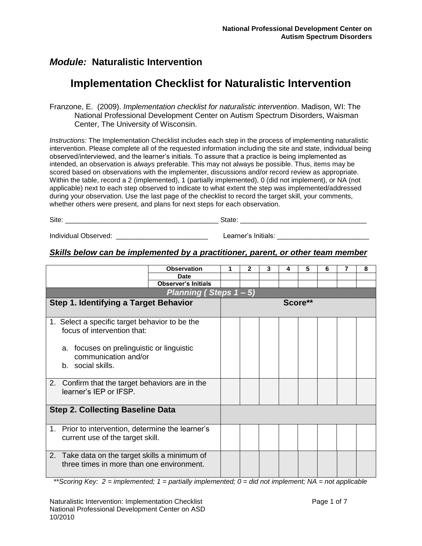# **Implementation Checklist for Naturalistic Intervention**

Franzone, E. (2009). *Implementation checklist for naturalistic intervention*. Madison, WI: The National Professional Development Center on Autism Spectrum Disorders, Waisman Center, The University of Wisconsin.

*Instructions:* The Implementation Checklist includes each step in the process of implementing naturalistic intervention. Please complete all of the requested information including the site and state, individual being observed/interviewed, and the learner's initials. To assure that a practice is being implemented as intended, an observation is *always* preferable. This may not always be possible. Thus, items may be scored based on observations with the implementer, discussions and/or record review as appropriate. Within the table, record a 2 (implemented), 1 (partially implemented), 0 (did not implement), or NA (not applicable) next to each step observed to indicate to what extent the step was implemented/addressed during your observation. Use the last page of the checklist to record the target skill, your comments, whether others were present, and plans for next steps for each observation.

| -<br>_________<br><u> The Communication of the Communication of the Communication of the Communication of the Communication of the Communication of the Communication of the Communication of the Communication of the Communication of the Commun</u> | __ |
|--------------------------------------------------------------------------------------------------------------------------------------------------------------------------------------------------------------------------------------------------------|----|
|                                                                                                                                                                                                                                                        |    |

Individual Observed: \_\_\_\_\_\_\_\_\_\_\_\_\_\_\_\_\_\_\_\_\_\_\_\_ Learner's Initials: \_\_\_\_\_\_\_\_\_\_\_\_\_\_\_\_\_\_\_\_\_\_\_\_

### *Skills below can be implemented by a practitioner, parent, or other team member*

|                                                                              |                                                                                                                                                                         | <b>Observation</b>         | 1 | $\mathbf{2}$ | 3 | 5       | 6 | 7 | 8 |
|------------------------------------------------------------------------------|-------------------------------------------------------------------------------------------------------------------------------------------------------------------------|----------------------------|---|--------------|---|---------|---|---|---|
|                                                                              |                                                                                                                                                                         | <b>Date</b>                |   |              |   |         |   |   |   |
|                                                                              |                                                                                                                                                                         | <b>Observer's Initials</b> |   |              |   |         |   |   |   |
|                                                                              |                                                                                                                                                                         | Planning (Steps $1 - 5$ )  |   |              |   |         |   |   |   |
|                                                                              | <b>Step 1. Identifying a Target Behavior</b>                                                                                                                            |                            |   |              |   | Score** |   |   |   |
|                                                                              | 1. Select a specific target behavior to be the<br>focus of intervention that:<br>a. focuses on prelinguistic or linguistic<br>communication and/or<br>b. social skills. |                            |   |              |   |         |   |   |   |
| Confirm that the target behaviors are in the<br>2.<br>learner's IEP or IFSP. |                                                                                                                                                                         |                            |   |              |   |         |   |   |   |
|                                                                              | <b>Step 2. Collecting Baseline Data</b>                                                                                                                                 |                            |   |              |   |         |   |   |   |
| 1.                                                                           | Prior to intervention, determine the learner's<br>current use of the target skill.                                                                                      |                            |   |              |   |         |   |   |   |
|                                                                              | 2. Take data on the target skills a minimum of<br>three times in more than one environment.                                                                             |                            |   |              |   |         |   |   |   |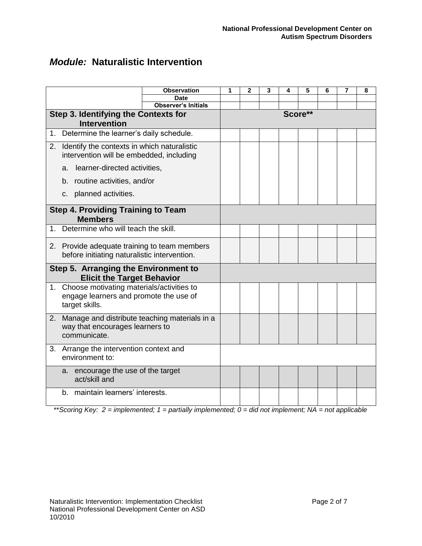|                                                             |                                                                                                          | <b>Observation</b>         | 1       | 2 | 3 | 4 | 5 | 6 | 7 | 8 |
|-------------------------------------------------------------|----------------------------------------------------------------------------------------------------------|----------------------------|---------|---|---|---|---|---|---|---|
|                                                             |                                                                                                          | <b>Date</b>                |         |   |   |   |   |   |   |   |
|                                                             |                                                                                                          | <b>Observer's Initials</b> |         |   |   |   |   |   |   |   |
|                                                             | Step 3. Identifying the Contexts for                                                                     |                            | Score** |   |   |   |   |   |   |   |
|                                                             | <b>Intervention</b>                                                                                      |                            |         |   |   |   |   |   |   |   |
| 1.                                                          | Determine the learner's daily schedule.                                                                  |                            |         |   |   |   |   |   |   |   |
|                                                             | 2. Identify the contexts in which naturalistic<br>intervention will be embedded, including               |                            |         |   |   |   |   |   |   |   |
|                                                             | learner-directed activities,<br>a.                                                                       |                            |         |   |   |   |   |   |   |   |
|                                                             | b. routine activities, and/or                                                                            |                            |         |   |   |   |   |   |   |   |
|                                                             | c. planned activities.                                                                                   |                            |         |   |   |   |   |   |   |   |
| <b>Step 4. Providing Training to Team</b><br><b>Members</b> |                                                                                                          |                            |         |   |   |   |   |   |   |   |
| 1.                                                          | Determine who will teach the skill.                                                                      |                            |         |   |   |   |   |   |   |   |
|                                                             | 2. Provide adequate training to team members<br>before initiating naturalistic intervention.             |                            |         |   |   |   |   |   |   |   |
|                                                             | Step 5. Arranging the Environment to<br><b>Elicit the Target Behavior</b>                                |                            |         |   |   |   |   |   |   |   |
|                                                             | 1. Choose motivating materials/activities to<br>engage learners and promote the use of<br>target skills. |                            |         |   |   |   |   |   |   |   |
| 2.                                                          | Manage and distribute teaching materials in a<br>way that encourages learners to<br>communicate.         |                            |         |   |   |   |   |   |   |   |
|                                                             | 3. Arrange the intervention context and<br>environment to:                                               |                            |         |   |   |   |   |   |   |   |
|                                                             | a. encourage the use of the target<br>act/skill and                                                      |                            |         |   |   |   |   |   |   |   |
|                                                             | maintain learners' interests.<br>b.                                                                      |                            |         |   |   |   |   |   |   |   |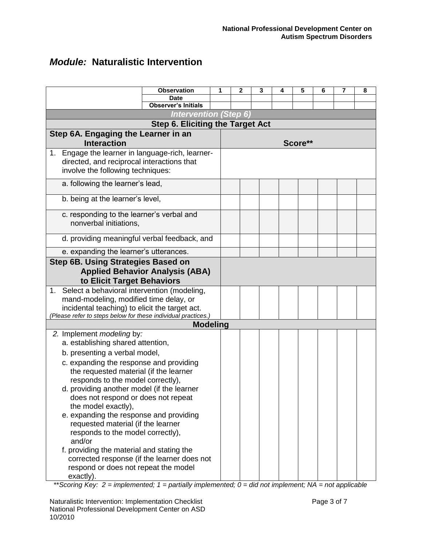|                                                            |                                                               | <b>Observation</b>                     | 1 | 2 |  | 3 | 4 | 5       | 6 | 7 | 8 |
|------------------------------------------------------------|---------------------------------------------------------------|----------------------------------------|---|---|--|---|---|---------|---|---|---|
|                                                            |                                                               | <b>Date</b>                            |   |   |  |   |   |         |   |   |   |
|                                                            |                                                               | <b>Observer's Initials</b>             |   |   |  |   |   |         |   |   |   |
|                                                            | <b>Intervention (Step 6)</b>                                  |                                        |   |   |  |   |   |         |   |   |   |
|                                                            | <b>Step 6. Eliciting the Target Act</b>                       |                                        |   |   |  |   |   |         |   |   |   |
|                                                            | Step 6A. Engaging the Learner in an                           |                                        |   |   |  |   |   |         |   |   |   |
|                                                            | <b>Interaction</b>                                            |                                        |   |   |  |   |   | Score** |   |   |   |
|                                                            | 1. Engage the learner in language-rich, learner-              |                                        |   |   |  |   |   |         |   |   |   |
|                                                            | directed, and reciprocal interactions that                    |                                        |   |   |  |   |   |         |   |   |   |
|                                                            | involve the following techniques:                             |                                        |   |   |  |   |   |         |   |   |   |
|                                                            | a. following the learner's lead,                              |                                        |   |   |  |   |   |         |   |   |   |
|                                                            |                                                               |                                        |   |   |  |   |   |         |   |   |   |
|                                                            | b. being at the learner's level,                              |                                        |   |   |  |   |   |         |   |   |   |
|                                                            | c. responding to the learner's verbal and                     |                                        |   |   |  |   |   |         |   |   |   |
|                                                            | nonverbal initiations,                                        |                                        |   |   |  |   |   |         |   |   |   |
|                                                            |                                                               |                                        |   |   |  |   |   |         |   |   |   |
|                                                            | d. providing meaningful verbal feedback, and                  |                                        |   |   |  |   |   |         |   |   |   |
|                                                            | e. expanding the learner's utterances.                        |                                        |   |   |  |   |   |         |   |   |   |
|                                                            | Step 6B. Using Strategies Based on                            |                                        |   |   |  |   |   |         |   |   |   |
|                                                            |                                                               | <b>Applied Behavior Analysis (ABA)</b> |   |   |  |   |   |         |   |   |   |
|                                                            | to Elicit Target Behaviors                                    |                                        |   |   |  |   |   |         |   |   |   |
|                                                            | 1. Select a behavioral intervention (modeling,                |                                        |   |   |  |   |   |         |   |   |   |
|                                                            | mand-modeling, modified time delay, or                        |                                        |   |   |  |   |   |         |   |   |   |
|                                                            | incidental teaching) to elicit the target act.                |                                        |   |   |  |   |   |         |   |   |   |
|                                                            | (Please refer to steps below for these individual practices.) |                                        |   |   |  |   |   |         |   |   |   |
|                                                            |                                                               | <b>Modeling</b>                        |   |   |  |   |   |         |   |   |   |
|                                                            | 2. Implement modeling by:                                     |                                        |   |   |  |   |   |         |   |   |   |
|                                                            | a. establishing shared attention,                             |                                        |   |   |  |   |   |         |   |   |   |
|                                                            | b. presenting a verbal model,                                 |                                        |   |   |  |   |   |         |   |   |   |
|                                                            | c. expanding the response and providing                       |                                        |   |   |  |   |   |         |   |   |   |
|                                                            | the requested material (if the learner                        |                                        |   |   |  |   |   |         |   |   |   |
|                                                            | responds to the model correctly),                             |                                        |   |   |  |   |   |         |   |   |   |
|                                                            | d. providing another model (if the learner                    |                                        |   |   |  |   |   |         |   |   |   |
| does not respond or does not repeat<br>the model exactly), |                                                               |                                        |   |   |  |   |   |         |   |   |   |
|                                                            | e. expanding the response and providing                       |                                        |   |   |  |   |   |         |   |   |   |
| requested material (if the learner                         |                                                               |                                        |   |   |  |   |   |         |   |   |   |
| responds to the model correctly),                          |                                                               |                                        |   |   |  |   |   |         |   |   |   |
|                                                            | and/or                                                        |                                        |   |   |  |   |   |         |   |   |   |
|                                                            | f. providing the material and stating the                     |                                        |   |   |  |   |   |         |   |   |   |
|                                                            | corrected response (if the learner does not                   |                                        |   |   |  |   |   |         |   |   |   |
|                                                            | respond or does not repeat the model                          |                                        |   |   |  |   |   |         |   |   |   |
|                                                            | exactly).                                                     |                                        |   |   |  |   |   |         |   |   |   |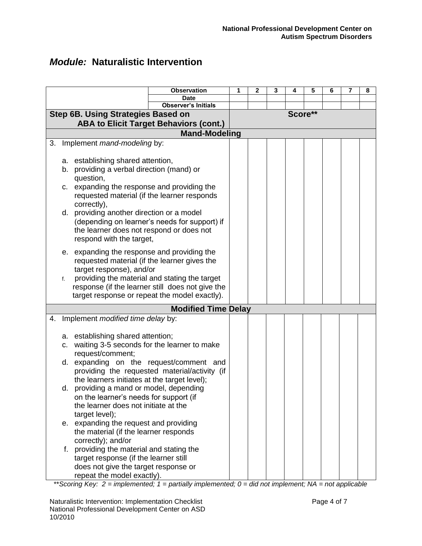|                                                                                                                                                                                                                                                                                                                                                                                                                                                                                                                                                                                                                                              | <b>Observation</b>                                                                                                                                 | 1 | 2 | 3 | 4       | 5 | 6 | 8 |
|----------------------------------------------------------------------------------------------------------------------------------------------------------------------------------------------------------------------------------------------------------------------------------------------------------------------------------------------------------------------------------------------------------------------------------------------------------------------------------------------------------------------------------------------------------------------------------------------------------------------------------------------|----------------------------------------------------------------------------------------------------------------------------------------------------|---|---|---|---------|---|---|---|
|                                                                                                                                                                                                                                                                                                                                                                                                                                                                                                                                                                                                                                              | <b>Date</b><br><b>Observer's Initials</b>                                                                                                          |   |   |   |         |   |   |   |
| <b>Step 6B. Using Strategies Based on</b>                                                                                                                                                                                                                                                                                                                                                                                                                                                                                                                                                                                                    |                                                                                                                                                    |   |   |   | Score** |   |   |   |
|                                                                                                                                                                                                                                                                                                                                                                                                                                                                                                                                                                                                                                              | <b>ABA to Elicit Target Behaviors (cont.)</b>                                                                                                      |   |   |   |         |   |   |   |
|                                                                                                                                                                                                                                                                                                                                                                                                                                                                                                                                                                                                                                              | <b>Mand-Modeling</b>                                                                                                                               |   |   |   |         |   |   |   |
| Implement mand-modeling by:<br>3.                                                                                                                                                                                                                                                                                                                                                                                                                                                                                                                                                                                                            |                                                                                                                                                    |   |   |   |         |   |   |   |
| a. establishing shared attention,<br>b. providing a verbal direction (mand) or<br>question,<br>c. expanding the response and providing the<br>requested material (if the learner responds<br>correctly),<br>d. providing another direction or a model<br>the learner does not respond or does not<br>respond with the target,                                                                                                                                                                                                                                                                                                                | (depending on learner's needs for support) if                                                                                                      |   |   |   |         |   |   |   |
| e. expanding the response and providing the<br>requested material (if the learner gives the<br>target response), and/or<br>f.                                                                                                                                                                                                                                                                                                                                                                                                                                                                                                                | providing the material and stating the target<br>response (if the learner still does not give the<br>target response or repeat the model exactly). |   |   |   |         |   |   |   |
|                                                                                                                                                                                                                                                                                                                                                                                                                                                                                                                                                                                                                                              | <b>Modified Time Delay</b>                                                                                                                         |   |   |   |         |   |   |   |
| Implement modified time delay by:<br>4.<br>a. establishing shared attention;<br>waiting 3-5 seconds for the learner to make<br>C.<br>request/comment;<br>d. expanding on the request/comment and<br>the learners initiates at the target level);<br>providing a mand or model, depending<br>d.<br>on the learner's needs for support (if<br>the learner does not initiate at the<br>target level);<br>e. expanding the request and providing<br>the material (if the learner responds<br>correctly); and/or<br>providing the material and stating the<br>f.<br>target response (if the learner still<br>does not give the target response or | providing the requested material/activity (if                                                                                                      |   |   |   |         |   |   |   |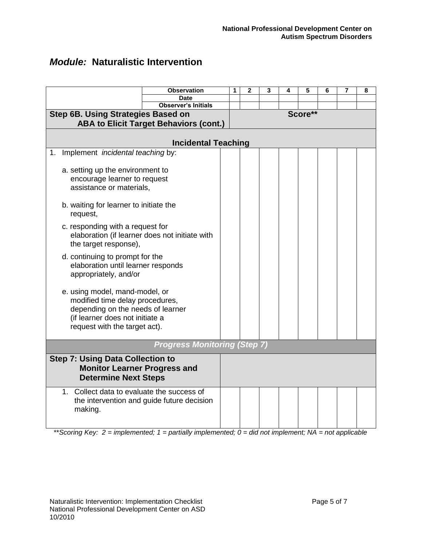|                                                    | <b>Observation</b>                             | 1 | $\overline{2}$ | 3 | 4 | 5       | 6 | 7 | 8 |
|----------------------------------------------------|------------------------------------------------|---|----------------|---|---|---------|---|---|---|
|                                                    | <b>Date</b>                                    |   |                |   |   |         |   |   |   |
|                                                    | <b>Observer's Initials</b>                     |   |                |   |   |         |   |   |   |
| <b>Step 6B. Using Strategies Based on</b>          |                                                |   |                |   |   | Score** |   |   |   |
|                                                    | <b>ABA to Elicit Target Behaviors (cont.)</b>  |   |                |   |   |         |   |   |   |
|                                                    |                                                |   |                |   |   |         |   |   |   |
|                                                    | <b>Incidental Teaching</b>                     |   |                |   |   |         |   |   |   |
| Implement incidental teaching by:<br>1.            |                                                |   |                |   |   |         |   |   |   |
|                                                    |                                                |   |                |   |   |         |   |   |   |
| a. setting up the environment to                   |                                                |   |                |   |   |         |   |   |   |
| encourage learner to request                       |                                                |   |                |   |   |         |   |   |   |
| assistance or materials,                           |                                                |   |                |   |   |         |   |   |   |
|                                                    |                                                |   |                |   |   |         |   |   |   |
| b. waiting for learner to initiate the             |                                                |   |                |   |   |         |   |   |   |
| request,                                           |                                                |   |                |   |   |         |   |   |   |
| c. responding with a request for                   |                                                |   |                |   |   |         |   |   |   |
|                                                    | elaboration (if learner does not initiate with |   |                |   |   |         |   |   |   |
| the target response),                              |                                                |   |                |   |   |         |   |   |   |
|                                                    |                                                |   |                |   |   |         |   |   |   |
| d. continuing to prompt for the                    |                                                |   |                |   |   |         |   |   |   |
| elaboration until learner responds                 |                                                |   |                |   |   |         |   |   |   |
| appropriately, and/or                              |                                                |   |                |   |   |         |   |   |   |
|                                                    |                                                |   |                |   |   |         |   |   |   |
| e. using model, mand-model, or                     |                                                |   |                |   |   |         |   |   |   |
| modified time delay procedures,                    |                                                |   |                |   |   |         |   |   |   |
| depending on the needs of learner                  |                                                |   |                |   |   |         |   |   |   |
| (if learner does not initiate a                    |                                                |   |                |   |   |         |   |   |   |
| request with the target act).                      |                                                |   |                |   |   |         |   |   |   |
|                                                    |                                                |   |                |   |   |         |   |   |   |
|                                                    | <b>Progress Monitoring (Step 7)</b>            |   |                |   |   |         |   |   |   |
| <b>Step 7: Using Data Collection to</b>            |                                                |   |                |   |   |         |   |   |   |
| <b>Monitor Learner Progress and</b>                |                                                |   |                |   |   |         |   |   |   |
| <b>Determine Next Steps</b>                        |                                                |   |                |   |   |         |   |   |   |
|                                                    |                                                |   |                |   |   |         |   |   |   |
| $1_{-}$<br>Collect data to evaluate the success of |                                                |   |                |   |   |         |   |   |   |
|                                                    | the intervention and guide future decision     |   |                |   |   |         |   |   |   |
| making.                                            |                                                |   |                |   |   |         |   |   |   |
|                                                    |                                                |   |                |   |   |         |   |   |   |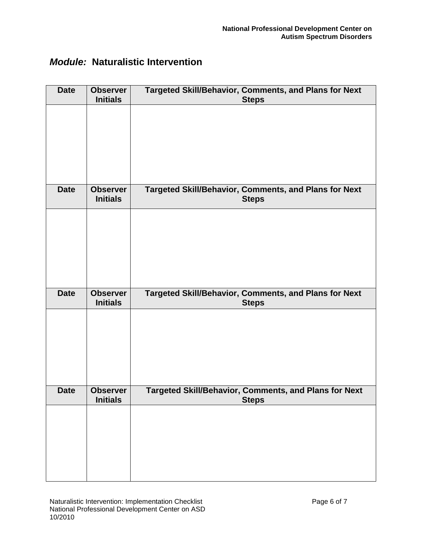| <b>Date</b> | <b>Observer</b><br><b>Initials</b> | Targeted Skill/Behavior, Comments, and Plans for Next<br><b>Steps</b>        |
|-------------|------------------------------------|------------------------------------------------------------------------------|
|             |                                    |                                                                              |
|             |                                    |                                                                              |
|             |                                    |                                                                              |
|             |                                    |                                                                              |
| <b>Date</b> | <b>Observer</b><br><b>Initials</b> | Targeted Skill/Behavior, Comments, and Plans for Next<br><b>Steps</b>        |
|             |                                    |                                                                              |
|             |                                    |                                                                              |
|             |                                    |                                                                              |
|             |                                    |                                                                              |
| <b>Date</b> | <b>Observer</b><br><b>Initials</b> | <b>Targeted Skill/Behavior, Comments, and Plans for Next</b><br><b>Steps</b> |
|             |                                    |                                                                              |
|             |                                    |                                                                              |
|             |                                    |                                                                              |
|             |                                    |                                                                              |
| <b>Date</b> | <b>Observer</b><br><b>Initials</b> | Targeted Skill/Behavior, Comments, and Plans for Next<br><b>Steps</b>        |
|             |                                    |                                                                              |
|             |                                    |                                                                              |
|             |                                    |                                                                              |
|             |                                    |                                                                              |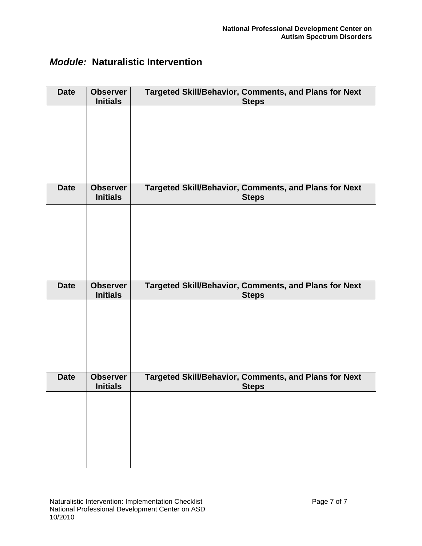| <b>Date</b> | <b>Observer</b><br><b>Initials</b> | Targeted Skill/Behavior, Comments, and Plans for Next<br><b>Steps</b>        |
|-------------|------------------------------------|------------------------------------------------------------------------------|
|             |                                    |                                                                              |
|             |                                    |                                                                              |
|             |                                    |                                                                              |
|             |                                    |                                                                              |
| <b>Date</b> | <b>Observer</b><br><b>Initials</b> | Targeted Skill/Behavior, Comments, and Plans for Next<br><b>Steps</b>        |
|             |                                    |                                                                              |
|             |                                    |                                                                              |
|             |                                    |                                                                              |
|             |                                    |                                                                              |
| <b>Date</b> | <b>Observer</b><br><b>Initials</b> | <b>Targeted Skill/Behavior, Comments, and Plans for Next</b><br><b>Steps</b> |
|             |                                    |                                                                              |
|             |                                    |                                                                              |
|             |                                    |                                                                              |
|             |                                    |                                                                              |
| <b>Date</b> | <b>Observer</b><br><b>Initials</b> | Targeted Skill/Behavior, Comments, and Plans for Next<br><b>Steps</b>        |
|             |                                    |                                                                              |
|             |                                    |                                                                              |
|             |                                    |                                                                              |
|             |                                    |                                                                              |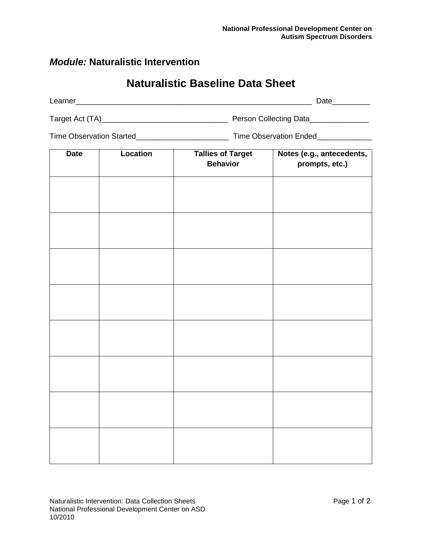# **Naturalistic Baseline Data Sheet**

| Learner         |                        | Date |
|-----------------|------------------------|------|
| Target Act (TA) | Person Collecting Data |      |

Time Observation Started\_\_\_\_\_\_\_\_\_\_\_\_\_\_\_\_\_\_\_\_\_\_ Time Observation Ended\_\_\_\_\_\_\_\_\_\_\_\_\_

| <b>Date</b> | Location | <b>Tallies of Target</b> | Notes (e.g., antecedents, |  |
|-------------|----------|--------------------------|---------------------------|--|
|             |          | <b>Behavior</b>          | prompts, etc.)            |  |
|             |          |                          |                           |  |
|             |          |                          |                           |  |
|             |          |                          |                           |  |
|             |          |                          |                           |  |
|             |          |                          |                           |  |
|             |          |                          |                           |  |
|             |          |                          |                           |  |
|             |          |                          |                           |  |
|             |          |                          |                           |  |
|             |          |                          |                           |  |
|             |          |                          |                           |  |
|             |          |                          |                           |  |
|             |          |                          |                           |  |
|             |          |                          |                           |  |
|             |          |                          |                           |  |
|             |          |                          |                           |  |
|             |          |                          |                           |  |
|             |          |                          |                           |  |
|             |          |                          |                           |  |
|             |          |                          |                           |  |
|             |          |                          |                           |  |
|             |          |                          |                           |  |
|             |          |                          |                           |  |
|             |          |                          |                           |  |
|             |          |                          |                           |  |
|             |          |                          |                           |  |